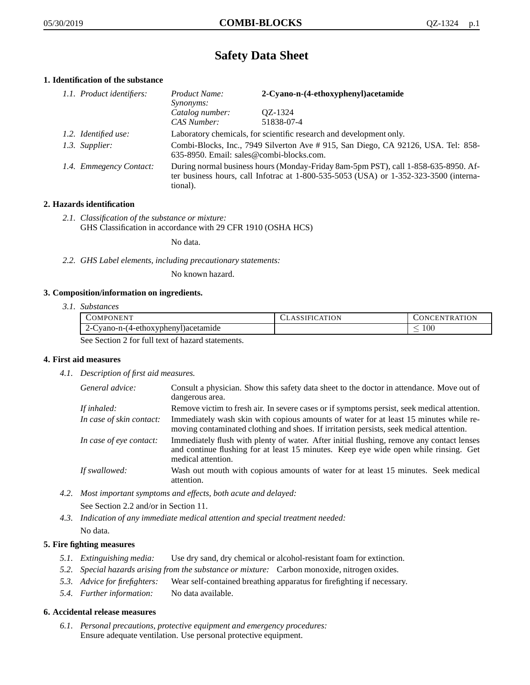# **Safety Data Sheet**

# **1. Identification of the substance**

| 1.1. Product identifiers: | Product Name:<br><i>Synonyms:</i>                                                                                                                                                           | 2-Cyano-n-(4-ethoxyphenyl)acetamide |
|---------------------------|---------------------------------------------------------------------------------------------------------------------------------------------------------------------------------------------|-------------------------------------|
|                           | Catalog number:<br>CAS Number:                                                                                                                                                              | QZ-1324<br>51838-07-4               |
| 1.2. Identified use:      | Laboratory chemicals, for scientific research and development only.                                                                                                                         |                                     |
| 1.3. Supplier:            | Combi-Blocks, Inc., 7949 Silverton Ave # 915, San Diego, CA 92126, USA. Tel: 858-<br>635-8950. Email: sales@combi-blocks.com.                                                               |                                     |
| 1.4. Emmegency Contact:   | During normal business hours (Monday-Friday 8am-5pm PST), call 1-858-635-8950. Af-<br>ter business hours, call Infotrac at $1-800-535-5053$ (USA) or $1-352-323-3500$ (interna-<br>tional). |                                     |

# **2. Hazards identification**

*2.1. Classification of the substance or mixture:* GHS Classification in accordance with 29 CFR 1910 (OSHA HCS)

No data.

*2.2. GHS Label elements, including precautionary statements:*

No known hazard.

# **3. Composition/information on ingredients.**

*3.1. Substances*

| COMPONENT                                      | CLASSIFICATION | CONCENTRATION |
|------------------------------------------------|----------------|---------------|
| 2-Cyano-n-(4-ethoxyphenyl) acetamide           |                | I 00          |
| See Section 2 for full toxi of here determined |                |               |

See Section 2 for full text of hazard statements.

# **4. First aid measures**

*4.1. Description of first aid measures.*

| General advice:          | Consult a physician. Show this safety data sheet to the doctor in attendance. Move out of<br>dangerous area.                                                                                            |
|--------------------------|---------------------------------------------------------------------------------------------------------------------------------------------------------------------------------------------------------|
| If inhaled:              | Remove victim to fresh air. In severe cases or if symptoms persist, seek medical attention.                                                                                                             |
| In case of skin contact: | Immediately wash skin with copious amounts of water for at least 15 minutes while re-<br>moving contaminated clothing and shoes. If irritation persists, seek medical attention.                        |
| In case of eye contact:  | Immediately flush with plenty of water. After initial flushing, remove any contact lenses<br>and continue flushing for at least 15 minutes. Keep eye wide open while rinsing. Get<br>medical attention. |
| If swallowed:            | Wash out mouth with copious amounts of water for at least 15 minutes. Seek medical<br>attention.                                                                                                        |

*4.2. Most important symptoms and effects, both acute and delayed:*

See Section 2.2 and/or in Section 11.

*4.3. Indication of any immediate medical attention and special treatment needed:* No data.

# **5. Fire fighting measures**

- *5.1. Extinguishing media:* Use dry sand, dry chemical or alcohol-resistant foam for extinction.
- *5.2. Special hazards arising from the substance or mixture:* Carbon monoxide, nitrogen oxides.
- *5.3. Advice for firefighters:* Wear self-contained breathing apparatus for firefighting if necessary.
- *5.4. Further information:* No data available.

# **6. Accidental release measures**

*6.1. Personal precautions, protective equipment and emergency procedures:* Ensure adequate ventilation. Use personal protective equipment.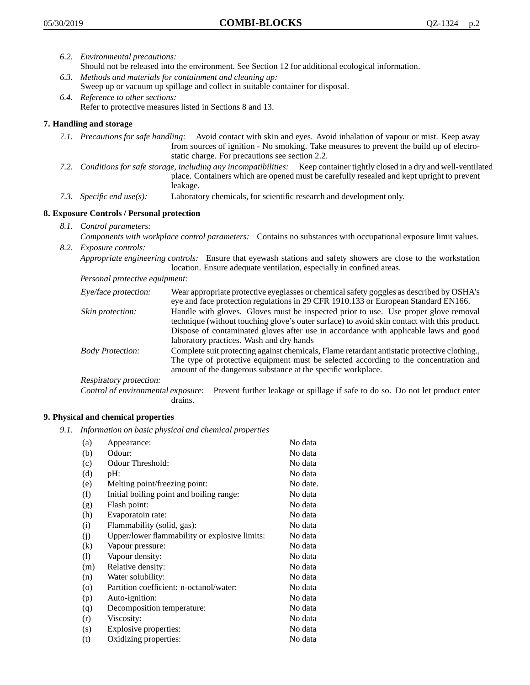- *6.2. Environmental precautions:* Should not be released into the environment. See Section 12 for additional ecological information.
- *6.3. Methods and materials for containment and cleaning up:* Sweep up or vacuum up spillage and collect in suitable container for disposal.
- *6.4. Reference to other sections:* Refer to protective measures listed in Sections 8 and 13.

# **7. Handling and storage**

- *7.1. Precautions for safe handling:* Avoid contact with skin and eyes. Avoid inhalation of vapour or mist. Keep away from sources of ignition - No smoking. Take measures to prevent the build up of electrostatic charge. For precautions see section 2.2.
- *7.2. Conditions for safe storage, including any incompatibilities:* Keep container tightly closed in a dry and well-ventilated place. Containers which are opened must be carefully resealed and kept upright to prevent leakage.
- *7.3. Specific end use(s):* Laboratory chemicals, for scientific research and development only.

# **8. Exposure Controls / Personal protection**

- *8.1. Control parameters:*
- *Components with workplace control parameters:* Contains no substances with occupational exposure limit values. *8.2. Exposure controls:*

*Appropriate engineering controls:* Ensure that eyewash stations and safety showers are close to the workstation location. Ensure adequate ventilation, especially in confined areas.

*Personal protective equipment:*

| Eye/face protection:    | Wear appropriate protective eyeglasses or chemical safety goggles as described by OSHA's<br>eye and face protection regulations in 29 CFR 1910.133 or European Standard EN166.                                                                                                                                         |
|-------------------------|------------------------------------------------------------------------------------------------------------------------------------------------------------------------------------------------------------------------------------------------------------------------------------------------------------------------|
| Skin protection:        | Handle with gloves. Gloves must be inspected prior to use. Use proper glove removal<br>technique (without touching glove's outer surface) to avoid skin contact with this product.<br>Dispose of contaminated gloves after use in accordance with applicable laws and good<br>laboratory practices. Wash and dry hands |
| <b>Body Protection:</b> | Complete suit protecting against chemicals, Flame retardant antistatic protective clothing.,<br>The type of protective equipment must be selected according to the concentration and<br>amount of the dangerous substance at the specific workplace.                                                                   |
| Respiratory protection: |                                                                                                                                                                                                                                                                                                                        |

Control of environmental exposure: Prevent further leakage or spillage if safe to do so. Do not let product enter drains.

# **9. Physical and chemical properties**

*9.1. Information on basic physical and chemical properties*

| (a)               | Appearance:                                   | No data  |
|-------------------|-----------------------------------------------|----------|
| (b)               | Odour:                                        | No data  |
| (c)               | Odour Threshold:                              | No data  |
| (d)               | pH:                                           | No data  |
| (e)               | Melting point/freezing point:                 | No date. |
| (f)               | Initial boiling point and boiling range:      | No data  |
| (g)               | Flash point:                                  | No data  |
| (h)               | Evaporatoin rate:                             | No data  |
| (i)               | Flammability (solid, gas):                    | No data  |
| (i)               | Upper/lower flammability or explosive limits: | No data  |
| $\left( k\right)$ | Vapour pressure:                              | No data  |
| (1)               | Vapour density:                               | No data  |
| (m)               | Relative density:                             | No data  |
| (n)               | Water solubility:                             | No data  |
| $\circ$           | Partition coefficient: n-octanol/water:       | No data  |
| (p)               | Auto-ignition:                                | No data  |
| (q)               | Decomposition temperature:                    | No data  |
| (r)               | Viscosity:                                    | No data  |
| (s)               | Explosive properties:                         | No data  |
| (t)               | Oxidizing properties:                         | No data  |